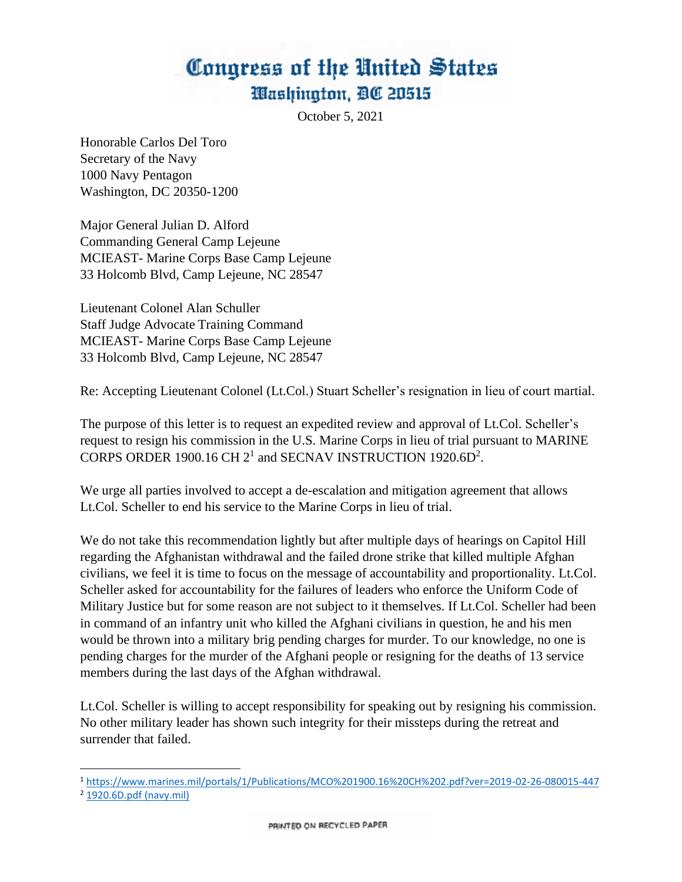October 5, 2021

Honorable Carlos Del Toro Secretary of the Navy 1000 Navy Pentagon Washington, DC 20350-1200

Major General Julian D. Alford Commanding General Camp Lejeune MCIEAST- Marine Corps Base Camp Lejeune 33 Holcomb Blvd, Camp Lejeune, NC 28547

Lieutenant Colonel Alan Schuller Staff Judge Advocate Training Command MCIEAST- Marine Corps Base Camp Lejeune 33 Holcomb Blvd, Camp Lejeune, NC 28547

Re: Accepting Lieutenant Colonel (Lt.Col.) Stuart Scheller's resignation in lieu of court martial.

The purpose of this letter is to request an expedited review and approval of Lt.Col. Scheller's request to resign his commission in the U.S. Marine Corps in lieu of trial pursuant to MARINE CORPS ORDER 1900.16 CH  $2^1$  and SECNAV INSTRUCTION 1920.6D<sup>2</sup>.

We urge all parties involved to accept a de-escalation and mitigation agreement that allows Lt.Col. Scheller to end his service to the Marine Corps in lieu of trial.

We do not take this recommendation lightly but after multiple days of hearings on Capitol Hill regarding the Afghanistan withdrawal and the failed drone strike that killed multiple Afghan civilians, we feel it is time to focus on the message of accountability and proportionality. Lt.Col. Scheller asked for accountability for the failures of leaders who enforce the Uniform Code of Military Justice but for some reason are not subject to it themselves. If Lt.Col. Scheller had been in command of an infantry unit who killed the Afghani civilians in question, he and his men would be thrown into a military brig pending charges for murder. To our knowledge, no one is pending charges for the murder of the Afghani people or resigning for the deaths of 13 service members during the last days of the Afghan withdrawal.

Lt.Col. Scheller is willing to accept responsibility for speaking out by resigning his commission. No other military leader has shown such integrity for their missteps during the retreat and surrender that failed.

<sup>1</sup> <https://www.marines.mil/portals/1/Publications/MCO%201900.16%20CH%202.pdf?ver=2019-02-26-080015-447>

<sup>2</sup> [1920.6D.pdf \(navy.mil\)](https://www.secnav.navy.mil/doni/Directives/01000%20Military%20Personnel%20Support/01-900%20Military%20Separation%20Services/1920.6D.pdf)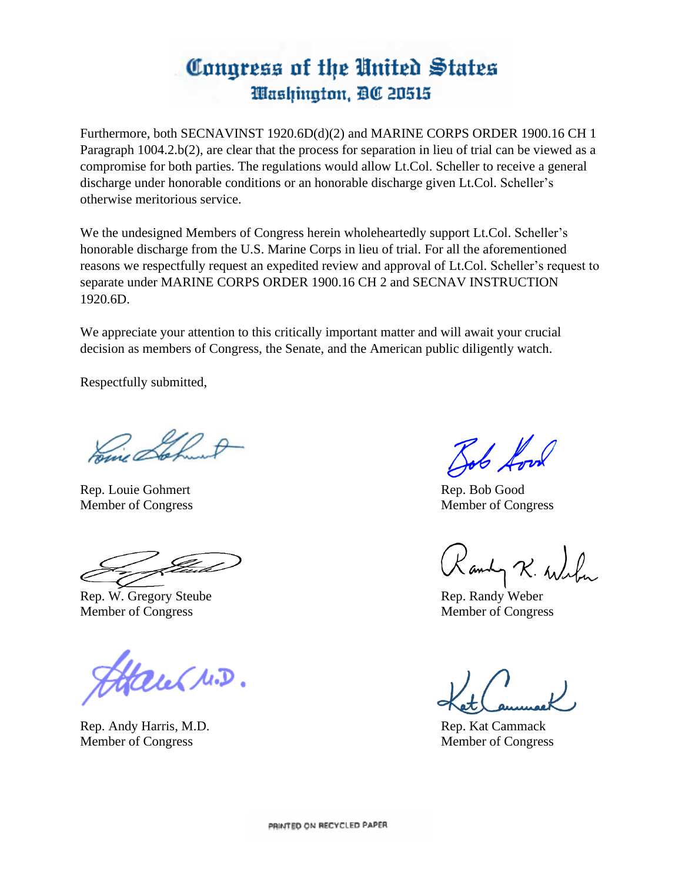Furthermore, both SECNAVINST 1920.6D(d)(2) and MARINE CORPS ORDER 1900.16 CH 1 Paragraph 1004.2.b(2), are clear that the process for separation in lieu of trial can be viewed as a compromise for both parties. The regulations would allow Lt.Col. Scheller to receive a general discharge under honorable conditions or an honorable discharge given Lt.Col. Scheller's otherwise meritorious service.

We the undesigned Members of Congress herein wholeheartedly support Lt.Col. Scheller's honorable discharge from the U.S. Marine Corps in lieu of trial. For all the aforementioned reasons we respectfully request an expedited review and approval of Lt.Col. Scheller's request to separate under MARINE CORPS ORDER 1900.16 CH 2 and SECNAV INSTRUCTION 1920.6D.

We appreciate your attention to this critically important matter and will await your crucial decision as members of Congress, the Senate, and the American public diligently watch.

Respectfully submitted,

Rep. Louie Gohmert Rep. Bob Good Member of Congress Member of Congress

Rep. W. Gregory Steube Rep. Randy Weber Member of Congress Member of Congress

Haul N.D.

Rep. Andy Harris, M.D. Rep. Kat Cammack Member of Congress Member of Congress

Jab Look

andy R. Wilker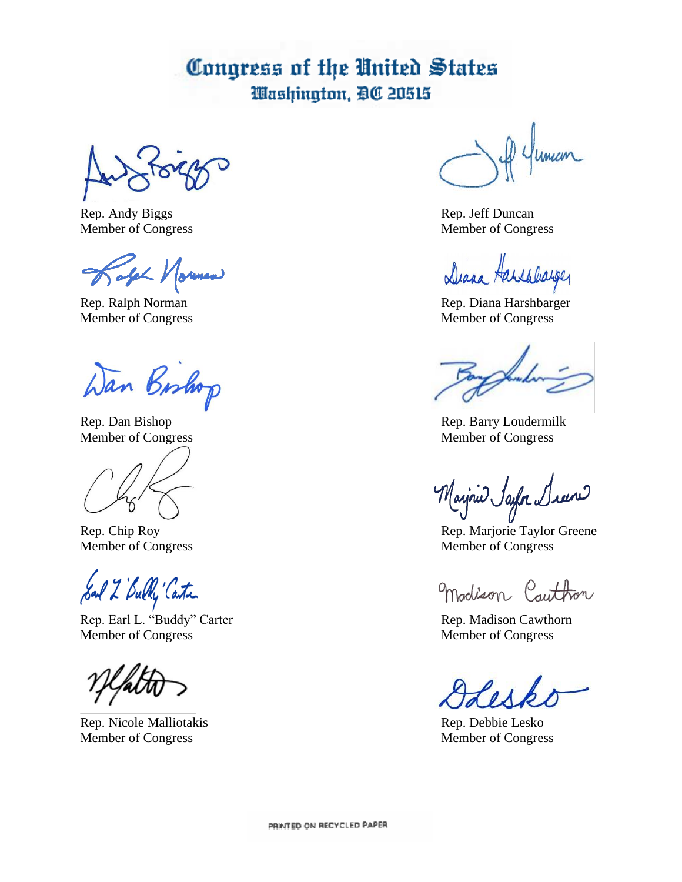Rep. Andy Biggs Rep. Jeff Duncan Member of Congress Member of Congress

Jake Morman

Wan Bishop

Sad 2 Bully Carter

Rep. Earl L. "Buddy" Carter Rep. Madison Cawthorn<br>
Member of Congress Rep. Madison Cawthorn<br>
Member of Congress

Rep. Nicole Malliotakis Rep. Debbie Lesko Member of Congress Member of Congress

1 Human

Diana Harshbarger

Rep. Ralph Norman Rep. Diana Harshbarger Member of Congress Member of Congress

Rep. Dan Bishop Rep. Barry Loudermilk Member of Congress Member of Congress

Mayrie Saylor & كسيد

Rep. Chip Roy Rep. Marjorie Taylor Greene Member of Congress Member of Congress

madison Cauthon

Member of Congress